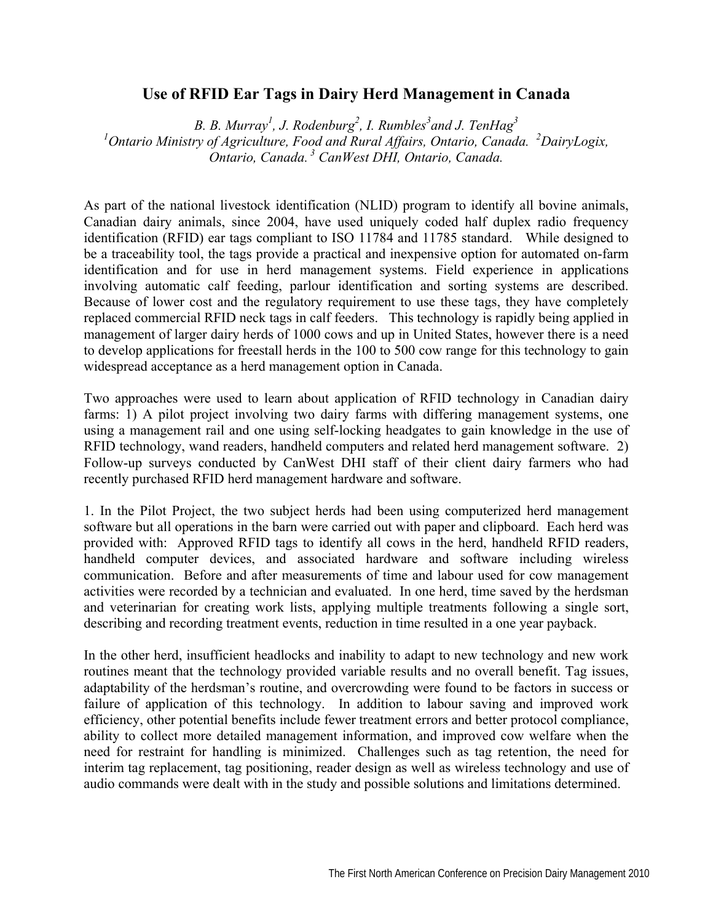## **Use of RFID Ear Tags in Dairy Herd Management in Canada**

*B. B. Murray<sup>1</sup>, J. Rodenburg*<sup>2</sup>, *I. Rumbles*<sup>3</sup> and *J. TenHag*<sup>3</sup> *1 Ontario Ministry of Agriculture, Food and Rural Affairs, Ontario, Canada. <sup>2</sup> DairyLogix, Ontario, Canada. 3 CanWest DHI, Ontario, Canada.* 

As part of the national livestock identification (NLID) program to identify all bovine animals, Canadian dairy animals, since 2004, have used uniquely coded half duplex radio frequency identification (RFID) ear tags compliant to ISO 11784 and 11785 standard. While designed to be a traceability tool, the tags provide a practical and inexpensive option for automated on-farm identification and for use in herd management systems. Field experience in applications involving automatic calf feeding, parlour identification and sorting systems are described. Because of lower cost and the regulatory requirement to use these tags, they have completely replaced commercial RFID neck tags in calf feeders. This technology is rapidly being applied in management of larger dairy herds of 1000 cows and up in United States, however there is a need to develop applications for freestall herds in the 100 to 500 cow range for this technology to gain widespread acceptance as a herd management option in Canada.

Two approaches were used to learn about application of RFID technology in Canadian dairy farms: 1) A pilot project involving two dairy farms with differing management systems, one using a management rail and one using self-locking headgates to gain knowledge in the use of RFID technology, wand readers, handheld computers and related herd management software. 2) Follow-up surveys conducted by CanWest DHI staff of their client dairy farmers who had recently purchased RFID herd management hardware and software.

1. In the Pilot Project, the two subject herds had been using computerized herd management software but all operations in the barn were carried out with paper and clipboard. Each herd was provided with: Approved RFID tags to identify all cows in the herd, handheld RFID readers, handheld computer devices, and associated hardware and software including wireless communication. Before and after measurements of time and labour used for cow management activities were recorded by a technician and evaluated. In one herd, time saved by the herdsman and veterinarian for creating work lists, applying multiple treatments following a single sort, describing and recording treatment events, reduction in time resulted in a one year payback.

In the other herd, insufficient headlocks and inability to adapt to new technology and new work routines meant that the technology provided variable results and no overall benefit. Tag issues, adaptability of the herdsman's routine, and overcrowding were found to be factors in success or failure of application of this technology. In addition to labour saving and improved work efficiency, other potential benefits include fewer treatment errors and better protocol compliance, ability to collect more detailed management information, and improved cow welfare when the need for restraint for handling is minimized. Challenges such as tag retention, the need for interim tag replacement, tag positioning, reader design as well as wireless technology and use of audio commands were dealt with in the study and possible solutions and limitations determined.